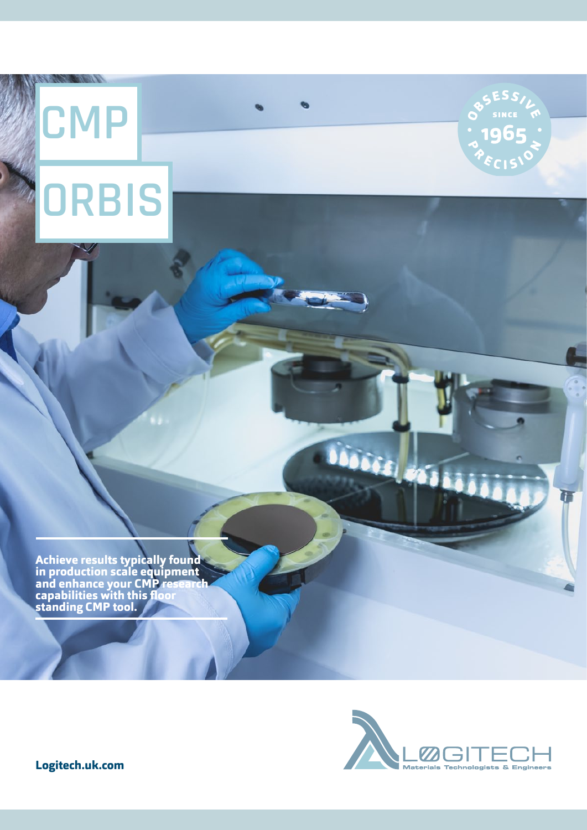## **CMP ORBIS**

**CARD CARDS** 





.<br>Dési ér

5

**Logitech.uk.com**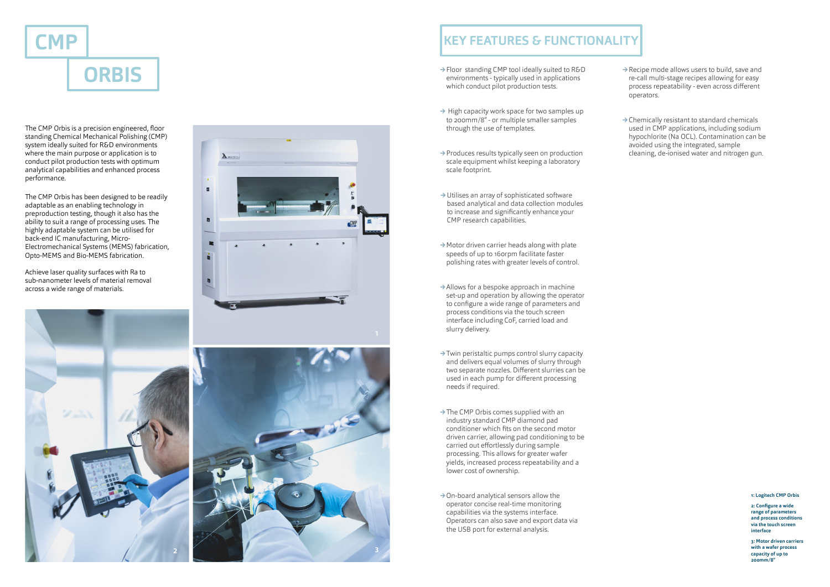

- **→**Floor standing CMP tool ideally suited to R&D environments - typically used in applications which conduct pilot production tests.
- **→** High capacity work space for two samples up to 200mm/8" - or multiple smaller samples through the use of templates.
- **→**Produces results typically seen on production scale equipment whilst keeping a laboratory scale footprint.
- **→**Utilises an array of sophisticated software based analytical and data collection modules to increase and significantly enhance your CMP research capabilities.
- **→**Motor driven carrier heads along with plate speeds of up to 160rpm facilitate faster polishing rates with greater levels of control.
- **→**Allows for a bespoke approach in machine set-up and operation by allowing the operator to configure a wide range of parameters and process conditions via the touch screen interface including CoF, carried load and slurry delivery.
- **→**Twin peristaltic pumps control slurry capacity and delivers equal volumes of slurry through two separate nozzles. Different slurries can be used in each pump for different processing needs if required.
- **→**The CMP Orbis comes supplied with an industry standard CMP diamond pad conditioner which fits on the second motor driven carrier, allowing pad conditioning to be carried out effortlessly during sample processing. This allows for greater wafer yields, increased process repeatability and a lower cost of ownership.
- **→**On-board analytical sensors allow the operator concise real-time monitoring capabilities via the systems interface. Operators can also save and export data via the USB port for external analysis.



## **KEY FEATURES & FUNCTIONALITY**

**1: Logitech CMP Orbis**

**2: Configure a wide range of parameters and process conditions via the touch screen interface**

**3: Motor driven carriers with a wafer process capacity of up to 200mm/8"**

The CMP Orbis is a precision engineered, floor standing Chemical Mechanical Polishing (CMP) system ideally suited for R&D environments where the main purpose or application is to conduct pilot production tests with optimum analytical capabilities and enhanced process performance.

The CMP Orbis has been designed to be readily adaptable as an enabling technology in preproduction testing, though it also has the ability to suit a range of processing uses. The highly adaptable system can be utilised for back-end IC manufacturing, Micro-Electromechanical Systems (MEMS) fabrication, Opto-MEMS and Bio-MEMS fabrication.

- **→**Recipe mode allows users to build, save and re-call multi-stage recipes allowing for easy process repeatability - even across different operators.
- **→**Chemically resistant to standard chemicals used in CMP applications, including sodium hypochlorite (Na OCL). Contamination can be avoided using the integrated, sample cleaning, de-ionised water and nitrogen gun.

Achieve laser quality surfaces with Ra to sub-nanometer levels of material removal across a wide range of materials.